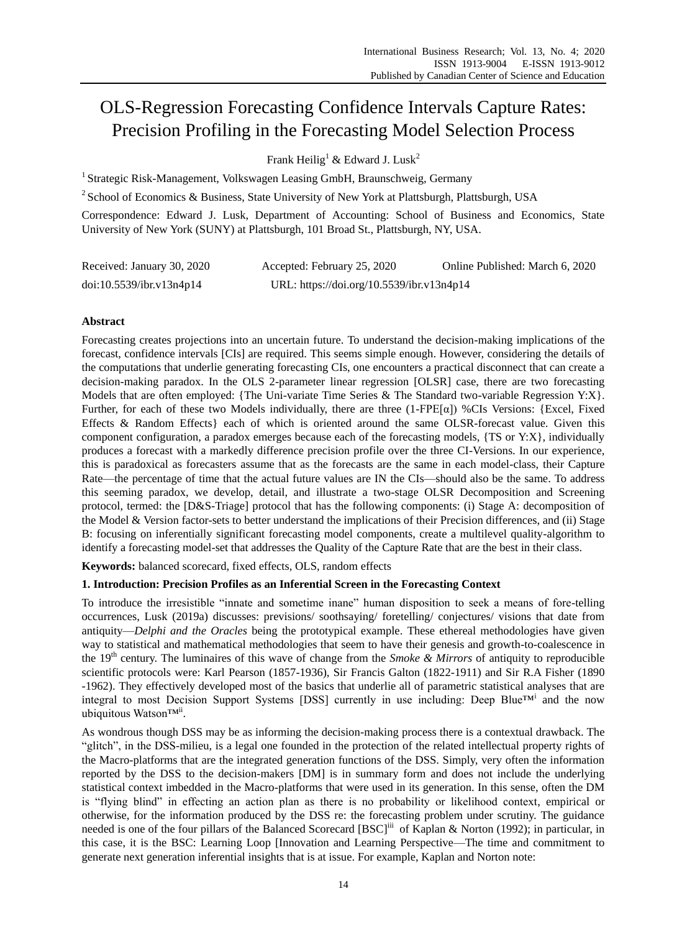# OLS-Regression Forecasting Confidence Intervals Capture Rates: Precision Profiling in the Forecasting Model Selection Process

Frank Heilig<sup>1</sup> & Edward J. Lusk<sup>2</sup>

<sup>1</sup> Strategic Risk-Management, Volkswagen Leasing GmbH, Braunschweig, Germany

<sup>2</sup> School of Economics & Business, State University of New York at Plattsburgh, Plattsburgh, USA

Correspondence: Edward J. Lusk, Department of Accounting: School of Business and Economics, State University of New York (SUNY) at Plattsburgh, 101 Broad St., Plattsburgh, NY, USA.

| Received: January 30, 2020 | Accepted: February 25, 2020               | Online Published: March 6, 2020 |
|----------------------------|-------------------------------------------|---------------------------------|
| doi:10.5539/ibr.v13n4p14   | URL: https://doi.org/10.5539/ibr.v13n4p14 |                                 |

# **Abstract**

Forecasting creates projections into an uncertain future. To understand the decision-making implications of the forecast, confidence intervals [CIs] are required. This seems simple enough. However, considering the details of the computations that underlie generating forecasting CIs, one encounters a practical disconnect that can create a decision-making paradox. In the OLS 2-parameter linear regression [OLSR] case, there are two forecasting Models that are often employed: {The Uni-variate Time Series & The Standard two-variable Regression Y:X}. Further, for each of these two Models individually, there are three  $(1-FPE[\alpha])$  %CIs Versions: {Excel, Fixed Effects & Random Effects} each of which is oriented around the same OLSR-forecast value. Given this component configuration, a paradox emerges because each of the forecasting models, {TS or Y:X}, individually produces a forecast with a markedly difference precision profile over the three CI-Versions. In our experience, this is paradoxical as forecasters assume that as the forecasts are the same in each model-class, their Capture Rate—the percentage of time that the actual future values are IN the CIs—should also be the same. To address this seeming paradox, we develop, detail, and illustrate a two-stage OLSR Decomposition and Screening protocol, termed: the [D&S-Triage] protocol that has the following components: (i) Stage A: decomposition of the Model & Version factor-sets to better understand the implications of their Precision differences, and (ii) Stage B: focusing on inferentially significant forecasting model components, create a multilevel quality-algorithm to identify a forecasting model-set that addresses the Quality of the Capture Rate that are the best in their class.

**Keywords:** balanced scorecard, fixed effects, OLS, random effects

# **1. Introduction: Precision Profiles as an Inferential Screen in the Forecasting Context**

To introduce the irresistible "innate and sometime inane" human disposition to seek a means of fore-telling occurrences, Lusk (2019a) discusses: previsions/ soothsaying/ foretelling/ conjectures/ visions that date from antiquity—*Delphi and the Oracles* being the prototypical example. These ethereal methodologies have given way to statistical and mathematical methodologies that seem to have their genesis and growth-to-coalescence in the 19th century. The luminaires of this wave of change from the *Smoke & Mirrors* of antiquity to reproducible scientific protocols were: Karl Pearson (1857-1936), Sir Francis Galton (1822-1911) and Sir R.A Fisher (1890 -1962). They effectively developed most of the basics that underlie all of parametric statistical analyses that are integral to most Decision Support Systems [DSS] currently in use including: Deep Blue™<sup>i</sup> and the now ubiquitous Watson™ii.

As wondrous though DSS may be as informing the decision-making process there is a contextual drawback. The "glitch", in the DSS-milieu, is a legal one founded in the protection of the related intellectual property rights of the Macro-platforms that are the integrated generation functions of the DSS. Simply, very often the information reported by the DSS to the decision-makers [DM] is in summary form and does not include the underlying statistical context imbedded in the Macro-platforms that were used in its generation. In this sense, often the DM is "flying blind" in effecting an action plan as there is no probability or likelihood context, empirical or otherwise, for the information produced by the DSS re: the forecasting problem under scrutiny. The guidance needed is one of the four pillars of the Balanced Scorecard [BSC]<sup>iii</sup> of Kaplan & Norton (1992); in particular, in this case, it is the BSC: Learning Loop [Innovation and Learning Perspective—The time and commitment to generate next generation inferential insights that is at issue. For example, Kaplan and Norton note: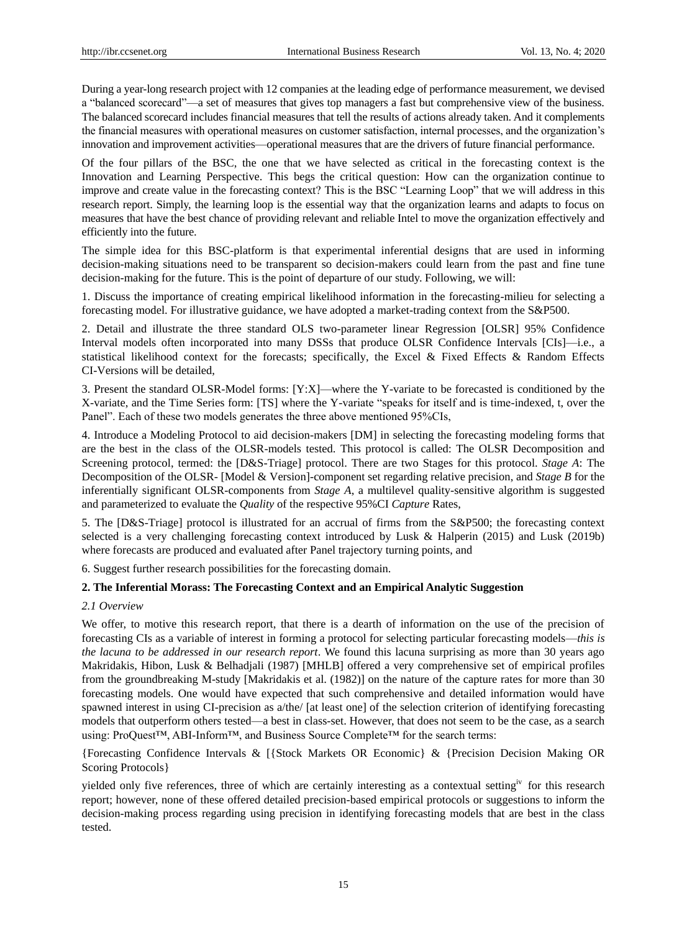During a year-long research project with 12 companies at the leading edge of performance measurement, we devised a "balanced scorecard"—a set of measures that gives top managers a fast but comprehensive view of the business. The balanced scorecard includes financial measures that tell the results of actions already taken. And it complements the financial measures with operational measures on customer satisfaction, internal processes, and the organization's innovation and improvement activities—operational measures that are the drivers of future financial performance.

Of the four pillars of the BSC, the one that we have selected as critical in the forecasting context is the Innovation and Learning Perspective. This begs the critical question: How can the organization continue to improve and create value in the forecasting context? This is the BSC "Learning Loop" that we will address in this research report. Simply, the learning loop is the essential way that the organization learns and adapts to focus on measures that have the best chance of providing relevant and reliable Intel to move the organization effectively and efficiently into the future.

The simple idea for this BSC-platform is that experimental inferential designs that are used in informing decision-making situations need to be transparent so decision-makers could learn from the past and fine tune decision-making for the future. This is the point of departure of our study. Following, we will:

1. Discuss the importance of creating empirical likelihood information in the forecasting-milieu for selecting a forecasting model. For illustrative guidance, we have adopted a market-trading context from the S&P500.

2. Detail and illustrate the three standard OLS two-parameter linear Regression [OLSR] 95% Confidence Interval models often incorporated into many DSSs that produce OLSR Confidence Intervals [CIs]—i.e., a statistical likelihood context for the forecasts; specifically, the Excel & Fixed Effects & Random Effects CI-Versions will be detailed,

3. Present the standard OLSR-Model forms: [Y:X]—where the Y-variate to be forecasted is conditioned by the X-variate, and the Time Series form: [TS] where the Y-variate "speaks for itself and is time-indexed, t, over the Panel". Each of these two models generates the three above mentioned 95%CIs,

4. Introduce a Modeling Protocol to aid decision-makers [DM] in selecting the forecasting modeling forms that are the best in the class of the OLSR-models tested. This protocol is called: The OLSR Decomposition and Screening protocol, termed: the [D&S-Triage] protocol. There are two Stages for this protocol. *Stage A*: The Decomposition of the OLSR- [Model & Version]-component set regarding relative precision, and *Stage B* for the inferentially significant OLSR-components from *Stage A*, a multilevel quality-sensitive algorithm is suggested and parameterized to evaluate the *Quality* of the respective 95%CI *Capture* Rates,

5. The [D&S-Triage] protocol is illustrated for an accrual of firms from the S&P500; the forecasting context selected is a very challenging forecasting context introduced by Lusk & Halperin (2015) and Lusk (2019b) where forecasts are produced and evaluated after Panel trajectory turning points, and

6. Suggest further research possibilities for the forecasting domain.

## **2. The Inferential Morass: The Forecasting Context and an Empirical Analytic Suggestion**

## *2.1 Overview*

We offer, to motive this research report, that there is a dearth of information on the use of the precision of forecasting CIs as a variable of interest in forming a protocol for selecting particular forecasting models—*this is the lacuna to be addressed in our research report*. We found this lacuna surprising as more than 30 years ago Makridakis, Hibon, Lusk & Belhadjali (1987) [MHLB] offered a very comprehensive set of empirical profiles from the groundbreaking M-study [Makridakis et al. (1982)] on the nature of the capture rates for more than 30 forecasting models. One would have expected that such comprehensive and detailed information would have spawned interest in using CI-precision as a/the/ [at least one] of the selection criterion of identifying forecasting models that outperform others tested—a best in class-set. However, that does not seem to be the case, as a search using: ProQuest™, ABI-Inform™, and Business Source Complete™ for the search terms:

{Forecasting Confidence Intervals & [{Stock Markets OR Economic} & {Precision Decision Making OR Scoring Protocols}

yielded only five references, three of which are certainly interesting as a contextual setting<sup>iv</sup> for this research report; however, none of these offered detailed precision-based empirical protocols or suggestions to inform the decision-making process regarding using precision in identifying forecasting models that are best in the class tested.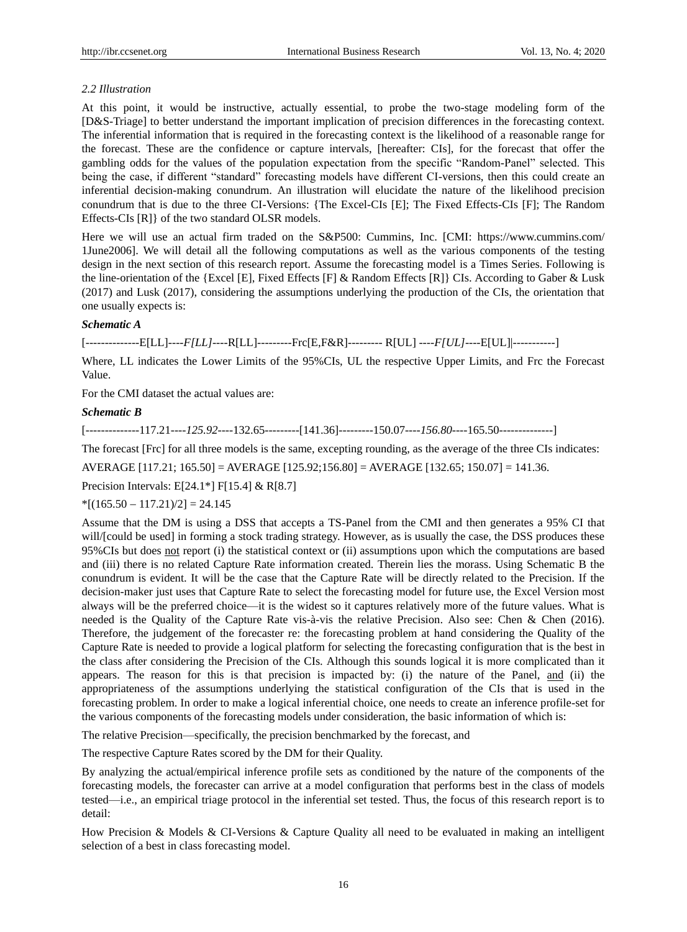## *2.2 Illustration*

At this point, it would be instructive, actually essential, to probe the two-stage modeling form of the [D&S-Triage] to better understand the important implication of precision differences in the forecasting context. The inferential information that is required in the forecasting context is the likelihood of a reasonable range for the forecast. These are the confidence or capture intervals, [hereafter: CIs], for the forecast that offer the gambling odds for the values of the population expectation from the specific "Random-Panel" selected. This being the case, if different "standard" forecasting models have different CI-versions, then this could create an inferential decision-making conundrum. An illustration will elucidate the nature of the likelihood precision conundrum that is due to the three CI-Versions: {The Excel-CIs [E]; The Fixed Effects-CIs [F]; The Random Effects-CIs [R]} of the two standard OLSR models.

Here we will use an actual firm traded on the S&P500: Cummins, Inc. [CMI: <https://www.cummins.com/> 1June2006]. We will detail all the following computations as well as the various components of the testing design in the next section of this research report. Assume the forecasting model is a Times Series. Following is the line-orientation of the {Excel [E], Fixed Effects [F] & Random Effects [R]} CIs. According to Gaber & Lusk (2017) and Lusk (2017), considering the assumptions underlying the production of the CIs, the orientation that one usually expects is:

#### *Schematic A*

[--------------E[LL]----*F[LL]*----R[LL]---------Frc[E,F&R]--------- R[UL] ----*F[UL]*----E[UL]|-----------]

Where, LL indicates the Lower Limits of the 95%CIs, UL the respective Upper Limits, and Frc the Forecast Value.

For the CMI dataset the actual values are:

#### *Schematic B*

[--------------117.21----*125.92*----132.65---------[141.36]---------150.07----*156.80*----165.50--------------]

The forecast [Frc] for all three models is the same, excepting rounding, as the average of the three CIs indicates:

AVERAGE [117.21; 165.50] = AVERAGE [125.92;156.80] = AVERAGE [132.65; 150.07] = 141.36.

Precision Intervals: E[24.1\*] F[15.4] & R[8.7]

## $*[(165.50 - 117.21)/2] = 24.145$

Assume that the DM is using a DSS that accepts a TS-Panel from the CMI and then generates a 95% CI that will/[could be used] in forming a stock trading strategy. However, as is usually the case, the DSS produces these 95%CIs but does not report (i) the statistical context or (ii) assumptions upon which the computations are based and (iii) there is no related Capture Rate information created. Therein lies the morass. Using Schematic B the conundrum is evident. It will be the case that the Capture Rate will be directly related to the Precision. If the decision-maker just uses that Capture Rate to select the forecasting model for future use, the Excel Version most always will be the preferred choice—it is the widest so it captures relatively more of the future values. What is needed is the Quality of the Capture Rate vis- $\lambda$ -vis the relative Precision. Also see: Chen & Chen (2016). Therefore, the judgement of the forecaster re: the forecasting problem at hand considering the Quality of the Capture Rate is needed to provide a logical platform for selecting the forecasting configuration that is the best in the class after considering the Precision of the CIs. Although this sounds logical it is more complicated than it appears. The reason for this is that precision is impacted by: (i) the nature of the Panel, and (ii) the appropriateness of the assumptions underlying the statistical configuration of the CIs that is used in the forecasting problem. In order to make a logical inferential choice, one needs to create an inference profile-set for the various components of the forecasting models under consideration, the basic information of which is:

The relative Precision—specifically, the precision benchmarked by the forecast, and

The respective Capture Rates scored by the DM for their Quality.

By analyzing the actual/empirical inference profile sets as conditioned by the nature of the components of the forecasting models, the forecaster can arrive at a model configuration that performs best in the class of models tested—i.e., an empirical triage protocol in the inferential set tested. Thus, the focus of this research report is to detail:

How Precision & Models & CI-Versions & Capture Quality all need to be evaluated in making an intelligent selection of a best in class forecasting model.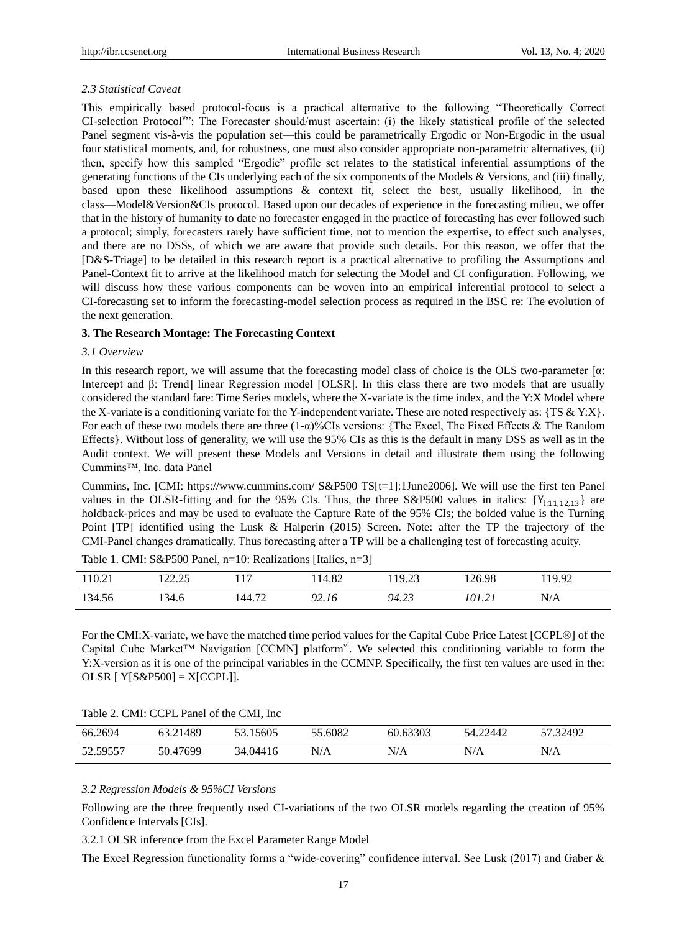## *2.3 Statistical Caveat*

This empirically based protocol-focus is a practical alternative to the following "Theoretically Correct CI-selection Protocol<sup>v</sup>": The Forecaster should/must ascertain: (i) the likely statistical profile of the selected Panel segment vis-à-vis the population set—this could be parametrically Ergodic or Non-Ergodic in the usual four statistical moments, and, for robustness, one must also consider appropriate non-parametric alternatives, (ii) then, specify how this sampled "Ergodic" profile set relates to the statistical inferential assumptions of the generating functions of the CIs underlying each of the six components of the Models & Versions, and (iii) finally, based upon these likelihood assumptions & context fit, select the best, usually likelihood,—in the class—Model&Version&CIs protocol. Based upon our decades of experience in the forecasting milieu, we offer that in the history of humanity to date no forecaster engaged in the practice of forecasting has ever followed such a protocol; simply, forecasters rarely have sufficient time, not to mention the expertise, to effect such analyses, and there are no DSSs, of which we are aware that provide such details. For this reason, we offer that the [D&S-Triage] to be detailed in this research report is a practical alternative to profiling the Assumptions and Panel-Context fit to arrive at the likelihood match for selecting the Model and CI configuration. Following, we will discuss how these various components can be woven into an empirical inferential protocol to select a CI-forecasting set to inform the forecasting-model selection process as required in the BSC re: The evolution of the next generation.

## **3. The Research Montage: The Forecasting Context**

#### *3.1 Overview*

In this research report, we will assume that the forecasting model class of choice is the OLS two-parameter  $\lceil \alpha \rceil$ . Intercept and β: Trend] linear Regression model [OLSR]. In this class there are two models that are usually considered the standard fare: Time Series models, where the X-variate is the time index, and the Y:X Model where the X-variate is a conditioning variate for the Y-independent variate. These are noted respectively as:  $\{TS \& Y:X\}$ . For each of these two models there are three (1-α)%CIs versions: {The Excel, The Fixed Effects & The Random Effects}. Without loss of generality, we will use the 95% CIs as this is the default in many DSS as well as in the Audit context. We will present these Models and Versions in detail and illustrate them using the following Cummins™, Inc. data Panel

Cummins, Inc. [CMI:<https://www.cummins.com/> S&P500 TS[t=1]:1June2006]. We will use the first ten Panel values in the OLSR-fitting and for the 95% CIs. Thus, the three S&P500 values in italics:  ${Y_{i:1,1,1,2,13}}$  are holdback-prices and may be used to evaluate the Capture Rate of the 95% CIs; the bolded value is the Turning Point [TP] identified using the Lusk & Halperin (2015) Screen. Note: after the TP the trajectory of the CMI-Panel changes dramatically. Thus forecasting after a TP will be a challenging test of forecasting acuity.

| 110.21 | 122.75<br>ر د د د د | 117    | 14.82       | 19.23<br>ر ے . د . | 126.98 | 119.92 |
|--------|---------------------|--------|-------------|--------------------|--------|--------|
| 134.56 | 134.6               | 144.72 | 12.16<br>O2 | 94.23              | 101.21 | N/A    |

Table 1. CMI: S&P500 Panel, n=10: Realizations [Italics, n=3]

For the CMI:X-variate, we have the matched time period values for the Capital Cube Price Latest [CCPL®] of the Capital Cube Market<sup>TM</sup> Navigation [CCMN] platform<sup>vi</sup>. We selected this conditioning variable to form the Y:X-version as it is one of the principal variables in the CCMNP. Specifically, the first ten values are used in the: OLSR  $[ Y | S\&P500] = X [CCPL]$ .

| 66.2694  | 63.21489 | 53.15605 | 55.6082 | 60.63303 | 54.22442 | 57.32492 |
|----------|----------|----------|---------|----------|----------|----------|
| 52.59557 | 50.47699 | 34.04416 | N/A     | N/A      | N/A      | N/A      |

#### *3.2 Regression Models & 95%CI Versions*

 $T_{\text{max}} = 2.5$  CMI,  $T_{\text{max}} = 2.5$ 

Following are the three frequently used CI-variations of the two OLSR models regarding the creation of 95% Confidence Intervals [CIs].

3.2.1 OLSR inference from the Excel Parameter Range Model

The Excel Regression functionality forms a "wide-covering" confidence interval. See Lusk (2017) and Gaber  $\&$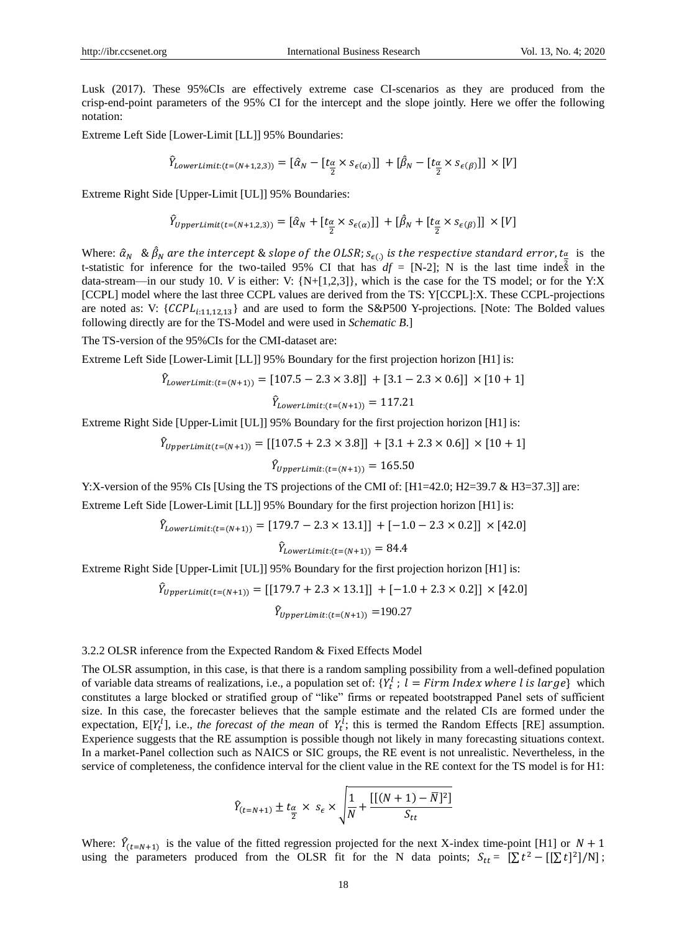Lusk (2017). These 95%CIs are effectively extreme case CI-scenarios as they are produced from the crisp-end-point parameters of the 95% CI for the intercept and the slope jointly. Here we offer the following notation:

Extreme Left Side [Lower-Limit [LL]] 95% Boundaries:

$$
\hat{Y}_{LowerLimit:(t=(N+1,2,3))} = [\hat{\alpha}_N - [t_{\frac{\alpha}{2}} \times s_{\epsilon(\alpha)}]] + [\hat{\beta}_N - [t_{\frac{\alpha}{2}} \times s_{\epsilon(\beta)}]] \times [V]
$$

Extreme Right Side [Upper-Limit [UL]] 95% Boundaries:

$$
\hat{Y}_{UpperLimit(t=(N+1,2,3))} = [\hat{\alpha}_N + [t_{\frac{\alpha}{2}} \times s_{\epsilon(\alpha)}]] + [\hat{\beta}_N + [t_{\frac{\alpha}{2}} \times s_{\epsilon(\beta)}]] \times [V]
$$

Where:  $\hat{\alpha}_N$  &  $\hat{\beta}_N$  are the intercept & slope of the OLSR;  $s_{\epsilon(1)}$  is the respective standard error,  $t_{\frac{\alpha}{2}}$  is the t-statistic for inference for the two-tailed 95% CI that has  $df = [N-2]$ ; N is the last time index in the data-stream—in our study 10. *V* is either: V: {N+[1,2,3]}, which is the case for the TS model; or for the Y:X [CCPL] model where the last three CCPL values are derived from the TS: Y[CCPL]:X. These CCPL-projections are noted as: V:  $\{C CPL_{i:11,12,13}\}$  and are used to form the S&P500 Y-projections. [Note: The Bolded values following directly are for the TS-Model and were used in *Schematic B*.]

The TS-version of the 95%CIs for the CMI-dataset are:

Extreme Left Side [Lower-Limit [LL]] 95% Boundary for the first projection horizon [H1] is:

$$
\hat{Y}_{LowerLimit:(t=(N+1))} = [107.5 - 2.3 \times 3.8]] + [3.1 - 2.3 \times 0.6]] \times [10 + 1]
$$

$$
\hat{Y}_{LowerLimit:(t=(N+1))} = 117.21
$$

Extreme Right Side [Upper-Limit [UL]] 95% Boundary for the first projection horizon [H1] is:

$$
\hat{Y}_{UpperLimit(t=(N+1))} = [[107.5 + 2.3 \times 3.8]] + [3.1 + 2.3 \times 0.6]] \times [10 + 1]
$$

$$
\hat{Y}_{UpperLimit:(t=(N+1))} = 165.50
$$

Y:X-version of the 95% CIs [Using the TS projections of the CMI of: [H1=42.0; H2=39.7 & H3=37.3]] are: Extreme Left Side [Lower-Limit [LL]] 95% Boundary for the first projection horizon [H1] is:

$$
\hat{Y}_{LowerLimit:(t=(N+1))} = [179.7 - 2.3 \times 13.1]] + [-1.0 - 2.3 \times 0.2]] \times [42.0]
$$

 $\hat{Y}_{LowerLimit:(t=(N+1))} = 84.4$ 

Extreme Right Side [Upper-Limit [UL]] 95% Boundary for the first projection horizon [H1] is:

$$
\hat{Y}_{UpperLimit(t=(N+1))} = [[179.7 + 2.3 \times 13.1]] + [-1.0 + 2.3 \times 0.2]] \times [42.0]
$$

$$
\hat{Y}_{UpperLimit:(t=(N+1))} = 190.27
$$

#### 3.2.2 OLSR inference from the Expected Random & Fixed Effects Model

The OLSR assumption, in this case, is that there is a random sampling possibility from a well-defined population of variable data streams of realizations, i.e., a population set of:  $\{Y_t^l : l = \text{Firm Index where } l \text{ is large}\}\$  which constitutes a large blocked or stratified group of "like" firms or repeated bootstrapped Panel sets of sufficient size. In this case, the forecaster believes that the sample estimate and the related CIs are formed under the expectation,  $E[Y_t^l]$ , i.e., *the forecast of the mean* of  $Y_t^l$ ; this is termed the Random Effects [RE] assumption. Experience suggests that the RE assumption is possible though not likely in many forecasting situations context. In a market-Panel collection such as NAICS or SIC groups, the RE event is not unrealistic. Nevertheless, in the service of completeness, the confidence interval for the client value in the RE context for the TS model is for H1:

$$
\hat{Y}_{(t=N+1)} \pm t_{\frac{\alpha}{2}} \times s_{\epsilon} \times \sqrt{\frac{1}{N} + \frac{[[(N+1)-\overline{N}]^2]}{S_{tt}}}
$$

Where:  $\hat{Y}_{(t=N+1)}$  is the value of the fitted regression projected for the next X-index time-point [H1] or  $N+1$ using the parameters produced from the OLSR fit for the N data points;  $S_{tt} = [\sum t^2 - [[\sum t]^2]/N]$ ;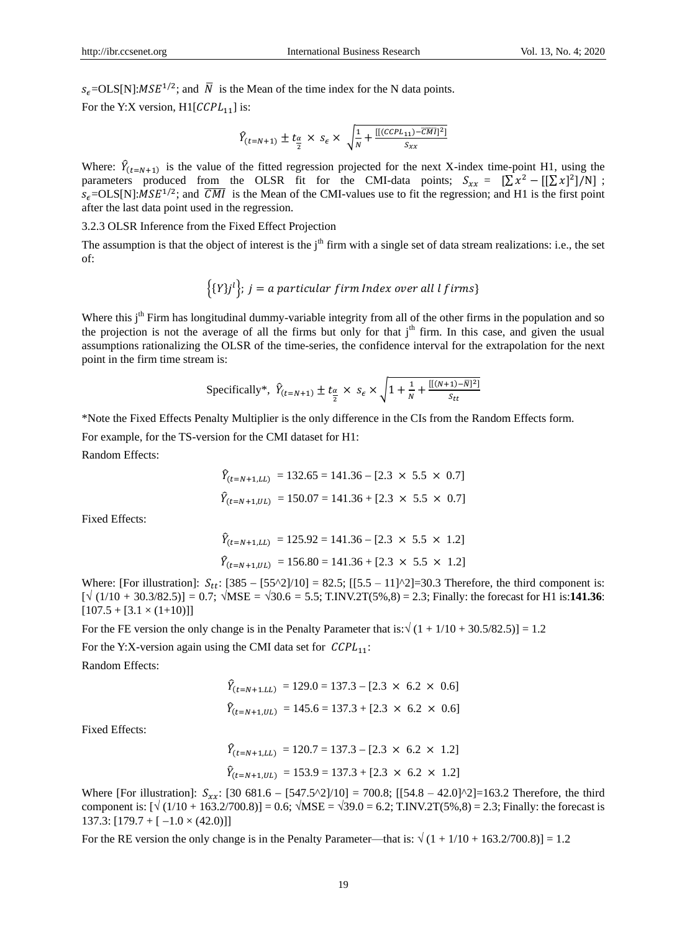$s_{\epsilon}$ =OLS[N]: $MSE^{1/2}$ ; and  $\overline{N}$  is the Mean of the time index for the N data points.

For the Y:X version,  $H1[CCPL_{11}]$  is:

$$
\hat{Y}_{(t=N+1)} \pm t_{\frac{\alpha}{2}} \times s_{\epsilon} \times \sqrt{\frac{1}{N} + \frac{[[(CCPL_{11}) - \overline{CMI}]^2]}{S_{xx}}}
$$

Where:  $\hat{Y}_{(t=N+1)}$  is the value of the fitted regression projected for the next X-index time-point H1, using the parameters produced from the OLSR fit for the CMI-data points;  $S_{xx} = [\sum x^2 - [[\sum x]^2]/N]$ ;  $s_{\epsilon}$ =OLS[N]:*MSE<sup>1/2</sup>*; and  $\overline{CMI}$  is the Mean of the CMI-values use to fit the regression; and H1 is the first point after the last data point used in the regression.

## 3.2.3 OLSR Inference from the Fixed Effect Projection

The assumption is that the object of interest is the  $j<sup>th</sup>$  firm with a single set of data stream realizations: i.e., the set of:

$$
\{Y\}^i\};\ j = a\ particular\ firm\ Index\ over\ all\ l\ firms\}
$$

Where this j<sup>th</sup> Firm has longitudinal dummy-variable integrity from all of the other firms in the population and so the projection is not the average of all the firms but only for that  $i<sup>th</sup>$  firm. In this case, and given the usual assumptions rationalizing the OLSR of the time-series, the confidence interval for the extrapolation for the next point in the firm time stream is:

Specifically\*, 
$$
\hat{Y}_{(t=N+1)} \pm t_{\frac{\alpha}{2}} \times s_{\epsilon} \times \sqrt{1 + \frac{1}{N} + \frac{[(N+1) - \overline{N}]^2}{s_{tt}}}
$$

\*Note the Fixed Effects Penalty Multiplier is the only difference in the CIs from the Random Effects form.

For example, for the TS-version for the CMI dataset for H1:

Random Effects:

$$
\hat{Y}_{(t=N+1,LL)} = 132.65 = 141.36 - [2.3 \times 5.5 \times 0.7]
$$
  

$$
\hat{Y}_{(t=N+1,UL)} = 150.07 = 141.36 + [2.3 \times 5.5 \times 0.7]
$$

Fixed Effects:

$$
\hat{Y}_{(t=N+1,LL)} = 125.92 = 141.36 - [2.3 \times 5.5 \times 1.2]
$$
  

$$
\hat{Y}_{(t=N+1,UL)} = 156.80 = 141.36 + [2.3 \times 5.5 \times 1.2]
$$

Where: [For illustration]:  $S_{tt}$ : [385 – [55^2]/10] = 82.5; [[5.5 – 11]^2]=30.3 Therefore, the third component is:  $[\sqrt{(1/10 + 30.3/82.5)}] = 0.7$ ;  $\sqrt{\text{MSE}} = \sqrt{30.6} = 5.5$ ; T.INV.2T(5%,8) = 2.3; Finally: the forecast for H1 is:141.36:  $[107.5 + [3.1 \times (1+10)]]$ 

For the FE version the only change is in the Penalty Parameter that is:  $\sqrt{(1 + 1/10 + 30.5/82.5)} = 1.2$ 

For the Y:X-version again using the CMI data set for  $\mathcal{CCPL}_{11}$ :

Random Effects:

$$
\hat{Y}_{(t=N+1,LL)} = 129.0 = 137.3 - [2.3 \times 6.2 \times 0.6]
$$
  

$$
\hat{Y}_{(t=N+1,UL)} = 145.6 = 137.3 + [2.3 \times 6.2 \times 0.6]
$$

Fixed Effects:

$$
\hat{Y}_{(t=N+1,LL)} = 120.7 = 137.3 - [2.3 \times 6.2 \times 1.2]
$$
  

$$
\hat{Y}_{(t=N+1,UL)} = 153.9 = 137.3 + [2.3 \times 6.2 \times 1.2]
$$

Where [For illustration]:  $S_{xx}$ : [30 681.6 - [547.5^2]/10] = 700.8; [[54.8 - 42.0]^2]=163.2 Therefore, the third component is:  $[\sqrt{(1/10 + 163.2/700.8)}] = 0.6$ ;  $\sqrt{MSE} = \sqrt{39.0} = 6.2$ ; T.INV.2T(5%,8) = 2.3; Finally: the forecast is 137.3:  $[179.7 + [-1.0 \times (42.0)]$ 

For the RE version the only change is in the Penalty Parameter—that is:  $\sqrt{(1 + 1/10 + 163.2/700.8)} = 1.2$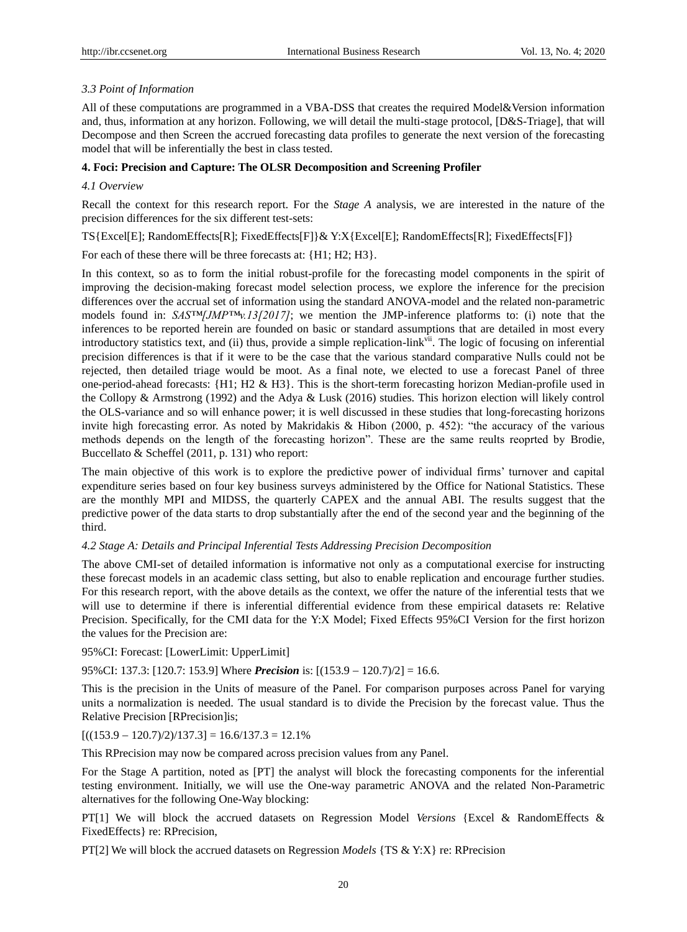## *3.3 Point of Information*

All of these computations are programmed in a VBA-DSS that creates the required Model&Version information and, thus, information at any horizon. Following, we will detail the multi-stage protocol, [D&S-Triage], that will Decompose and then Screen the accrued forecasting data profiles to generate the next version of the forecasting model that will be inferentially the best in class tested.

## **4. Foci: Precision and Capture: The OLSR Decomposition and Screening Profiler**

## *4.1 Overview*

Recall the context for this research report. For the *Stage A* analysis, we are interested in the nature of the precision differences for the six different test-sets:

TS{Excel[E]; RandomEffects[R]; FixedEffects[F]}& Y:X{Excel[E]; RandomEffects[R]; FixedEffects[F]}

For each of these there will be three forecasts at:  $\{H1, H2, H3\}$ .

In this context, so as to form the initial robust-profile for the forecasting model components in the spirit of improving the decision-making forecast model selection process, we explore the inference for the precision differences over the accrual set of information using the standard ANOVA-model and the related non-parametric models found in:  $SASTMJMP^{TM}v.13/2017$ ; we mention the JMP-inference platforms to: (i) note that the inferences to be reported herein are founded on basic or standard assumptions that are detailed in most every introductory statistics text, and (ii) thus, provide a simple replication-link<sup>vii</sup>. The logic of focusing on inferential precision differences is that if it were to be the case that the various standard comparative Nulls could not be rejected, then detailed triage would be moot. As a final note, we elected to use a forecast Panel of three one-period-ahead forecasts: {H1; H2 & H3}. This is the short-term forecasting horizon Median-profile used in the Collopy & Armstrong (1992) and the Adya & Lusk (2016) studies. This horizon election will likely control the OLS-variance and so will enhance power; it is well discussed in these studies that long-forecasting horizons invite high forecasting error. As noted by Makridakis & Hibon (2000, p. 452): "the accuracy of the various methods depends on the length of the forecasting horizon". These are the same reults reoprted by Brodie, Buccellato & Scheffel (2011, p. 131) who report:

The main objective of this work is to explore the predictive power of individual firms' turnover and capital expenditure series based on four key business surveys administered by the Office for National Statistics. These are the monthly MPI and MIDSS, the quarterly CAPEX and the annual ABI. The results suggest that the predictive power of the data starts to drop substantially after the end of the second year and the beginning of the third.

#### *4.2 Stage A: Details and Principal Inferential Tests Addressing Precision Decomposition*

The above CMI-set of detailed information is informative not only as a computational exercise for instructing these forecast models in an academic class setting, but also to enable replication and encourage further studies. For this research report, with the above details as the context, we offer the nature of the inferential tests that we will use to determine if there is inferential differential evidence from these empirical datasets re: Relative Precision. Specifically, for the CMI data for the Y:X Model; Fixed Effects 95%CI Version for the first horizon the values for the Precision are:

95%CI: Forecast: [LowerLimit: UpperLimit]

95%CI: 137.3: [120.7: 153.9] Where *Precision* is:  $[(153.9 - 120.7)/2] = 16.6$ .

This is the precision in the Units of measure of the Panel. For comparison purposes across Panel for varying units a normalization is needed. The usual standard is to divide the Precision by the forecast value. Thus the Relative Precision [RPrecision]is;

 $[((153.9 - 120.7)/2)/137.3] = 16.6/137.3 = 12.1\%$ 

This RPrecision may now be compared across precision values from any Panel.

For the Stage A partition, noted as [PT] the analyst will block the forecasting components for the inferential testing environment. Initially, we will use the One-way parametric ANOVA and the related Non-Parametric alternatives for the following One-Way blocking:

PT[1] We will block the accrued datasets on Regression Model *Versions* {Excel & RandomEffects & FixedEffects} re: RPrecision,

PT[2] We will block the accrued datasets on Regression *Models* {TS & Y:X} re: RPrecision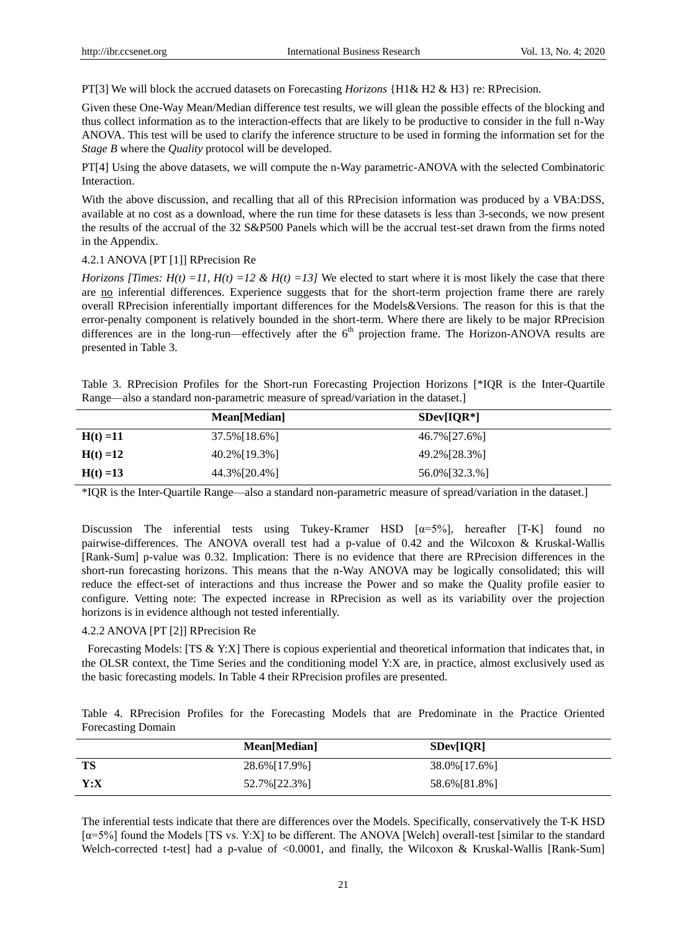PT[3] We will block the accrued datasets on Forecasting *Horizons* {H1& H2 & H3} re: RPrecision.

Given these One-Way Mean/Median difference test results, we will glean the possible effects of the blocking and thus collect information as to the interaction-effects that are likely to be productive to consider in the full n-Way ANOVA. This test will be used to clarify the inference structure to be used in forming the information set for the *Stage B* where the *Quality* protocol will be developed.

PT[4] Using the above datasets, we will compute the n-Way parametric-ANOVA with the selected Combinatoric Interaction.

With the above discussion, and recalling that all of this RPrecision information was produced by a VBA:DSS, available at no cost as a download, where the run time for these datasets is less than 3-seconds, we now present the results of the accrual of the 32 S&P500 Panels which will be the accrual test-set drawn from the firms noted in the Appendix.

## 4.2.1 ANOVA [PT [1]] RPrecision Re

*Horizons [Times: H(t) =11, H(t) =12 & H(t) =13]* We elected to start where it is most likely the case that there are no inferential differences. Experience suggests that for the short-term projection frame there are rarely overall RPrecision inferentially important differences for the Models&Versions. The reason for this is that the error-penalty component is relatively bounded in the short-term. Where there are likely to be major RPrecision differences are in the long-run—effectively after the  $6<sup>th</sup>$  projection frame. The Horizon-ANOVA results are presented in Table 3.

Table 3. RPrecision Profiles for the Short-run Forecasting Projection Horizons [\*IQR is the Inter-Quartile Range—also a standard non-parametric measure of spread/variation in the dataset.]

|             | Mean[Median]  | $SDev[IOR*]$  |
|-------------|---------------|---------------|
| $H(t) = 11$ | 37.5% [18.6%] | 46.7% [27.6%] |
| $H(t) = 12$ | 40.2%[19.3%]  | 49.2% [28.3%] |
| $H(t) = 13$ | 44.3%[20.4%]  | 56.0%[32.3.%] |

\*IQR is the Inter-Quartile Range—also a standard non-parametric measure of spread/variation in the dataset.]

Discussion The inferential tests using Tukey-Kramer HSD  $\alpha = 5\%$ , hereafter [T-K] found no pairwise-differences. The ANOVA overall test had a p-value of 0.42 and the Wilcoxon & Kruskal-Wallis [Rank-Sum] p-value was 0.32. Implication: There is no evidence that there are RPrecision differences in the short-run forecasting horizons. This means that the n-Way ANOVA may be logically consolidated; this will reduce the effect-set of interactions and thus increase the Power and so make the Quality profile easier to configure. Vetting note: The expected increase in RPrecision as well as its variability over the projection horizons is in evidence although not tested inferentially.

## 4.2.2 ANOVA [PT [2]] RPrecision Re

Forecasting Models: [TS & Y:X] There is copious experiential and theoretical information that indicates that, in the OLSR context, the Time Series and the conditioning model Y:X are, in practice, almost exclusively used as the basic forecasting models. In Table 4 their RPrecision profiles are presented.

Table 4. RPrecision Profiles for the Forecasting Models that are Predominate in the Practice Oriented Forecasting Domain

|      | Mean[Median]  | SDev[IOR]     |
|------|---------------|---------------|
| TS   | 28.6%[17.9%]  | 38.0% [17.6%] |
| Y: X | 52.7% [22.3%] | 58.6%[81.8%]  |

The inferential tests indicate that there are differences over the Models. Specifically, conservatively the T-K HSD [α=5%] found the Models [TS vs. Y:X] to be different. The ANOVA [Welch] overall-test [similar to the standard Welch-corrected t-test] had a p-value of <0.0001, and finally, the Wilcoxon & Kruskal-Wallis [Rank-Sum]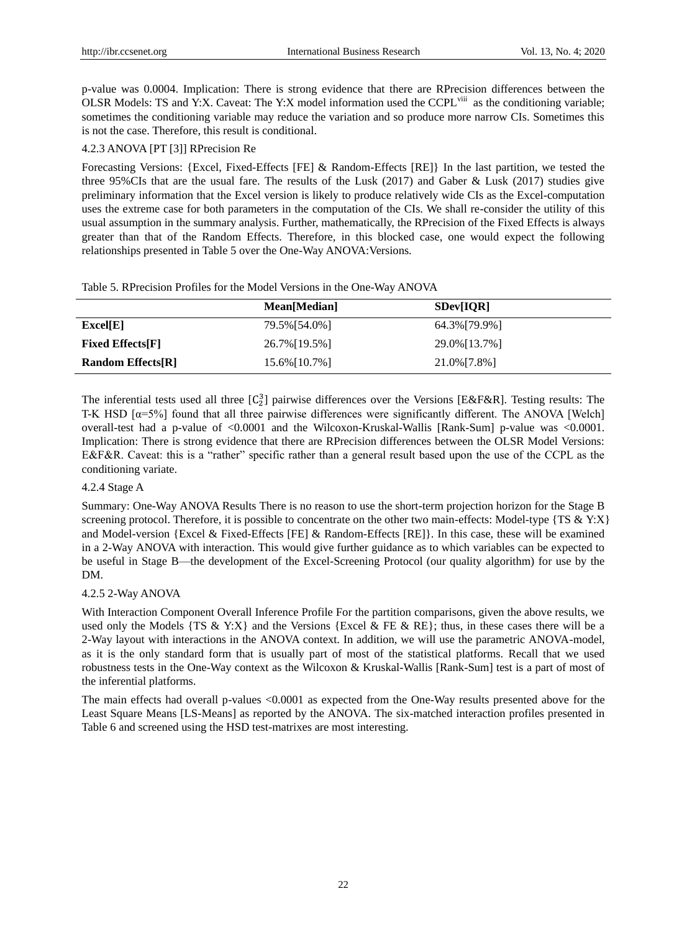p-value was 0.0004. Implication: There is strong evidence that there are RPrecision differences between the OLSR Models: TS and Y:X. Caveat: The Y:X model information used the CCPL<sup>viii</sup> as the conditioning variable; sometimes the conditioning variable may reduce the variation and so produce more narrow CIs. Sometimes this is not the case. Therefore, this result is conditional.

## 4.2.3 ANOVA [PT [3]] RPrecision Re

Forecasting Versions: {Excel, Fixed-Effects [FE] & Random-Effects [RE]} In the last partition, we tested the three 95%CIs that are the usual fare. The results of the Lusk (2017) and Gaber & Lusk (2017) studies give preliminary information that the Excel version is likely to produce relatively wide CIs as the Excel-computation uses the extreme case for both parameters in the computation of the CIs. We shall re-consider the utility of this usual assumption in the summary analysis. Further, mathematically, the RPrecision of the Fixed Effects is always greater than that of the Random Effects. Therefore, in this blocked case, one would expect the following relationships presented in Table 5 over the One-Way ANOVA:Versions.

|  |  |  |  |  |  | Table 5. RP recision Profiles for the Model Versions in the One-Way ANOVA |  |  |  |  |  |  |
|--|--|--|--|--|--|---------------------------------------------------------------------------|--|--|--|--|--|--|
|--|--|--|--|--|--|---------------------------------------------------------------------------|--|--|--|--|--|--|

|                          | Mean[Median]  | SDev[IOR]     |
|--------------------------|---------------|---------------|
| Excel[E]                 | 79.5%[54.0%]  | 64.3% [79.9%] |
| <b>Fixed Effects</b> [F] | 26.7% [19.5%] | 29.0% [13.7%] |
| <b>Random Effects[R]</b> | 15.6% [10.7%] | 21.0% [7.8%]  |

The inferential tests used all three  $[C_2^3]$  pairwise differences over the Versions [E&F&R]. Testing results: The T-K HSD [α=5%] found that all three pairwise differences were significantly different. The ANOVA [Welch] overall-test had a p-value of <0.0001 and the Wilcoxon-Kruskal-Wallis [Rank-Sum] p-value was <0.0001. Implication: There is strong evidence that there are RPrecision differences between the OLSR Model Versions: E&F&R. Caveat: this is a "rather" specific rather than a general result based upon the use of the CCPL as the conditioning variate.

## 4.2.4 Stage A

Summary: One-Way ANOVA Results There is no reason to use the short-term projection horizon for the Stage B screening protocol. Therefore, it is possible to concentrate on the other two main-effects: Model-type {TS & Y:X} and Model-version {Excel & Fixed-Effects [FE] & Random-Effects [RE]}. In this case, these will be examined in a 2-Way ANOVA with interaction. This would give further guidance as to which variables can be expected to be useful in Stage B—the development of the Excel-Screening Protocol (our quality algorithm) for use by the DM.

## 4.2.5 2-Way ANOVA

With Interaction Component Overall Inference Profile For the partition comparisons, given the above results, we used only the Models  $\{TS \& Y:X\}$  and the Versions  $\{Exec \& EE \& RE\}$ ; thus, in these cases there will be a 2-Way layout with interactions in the ANOVA context. In addition, we will use the parametric ANOVA-model, as it is the only standard form that is usually part of most of the statistical platforms. Recall that we used robustness tests in the One-Way context as the Wilcoxon & Kruskal-Wallis [Rank-Sum] test is a part of most of the inferential platforms.

The main effects had overall p-values <0.0001 as expected from the One-Way results presented above for the Least Square Means [LS-Means] as reported by the ANOVA. The six-matched interaction profiles presented in Table 6 and screened using the HSD test-matrixes are most interesting.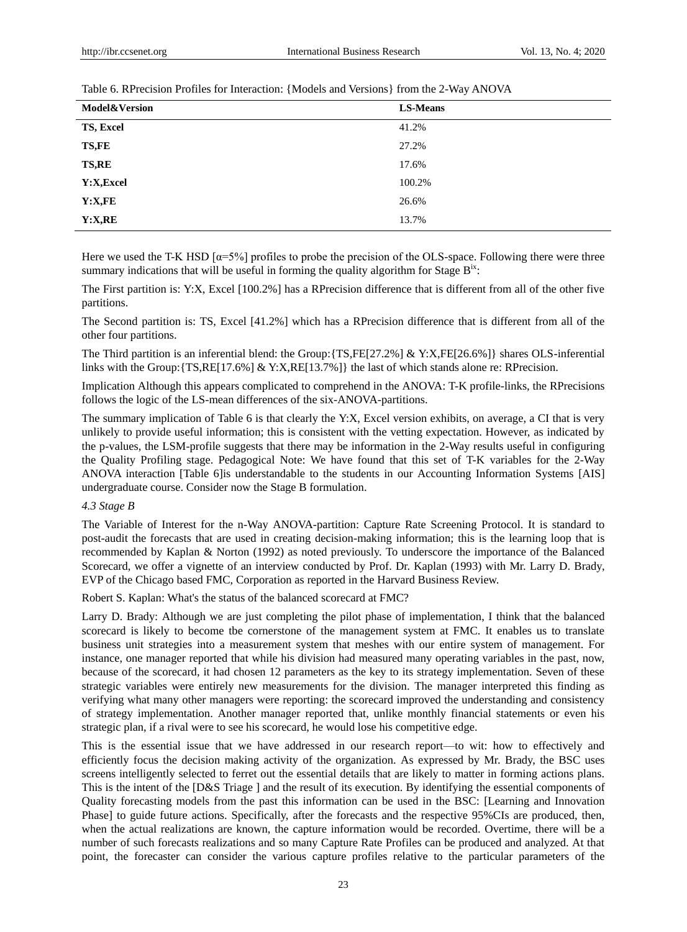| <b>Model&amp;Version</b> | <b>LS-Means</b> |
|--------------------------|-----------------|
| TS, Excel                | 41.2%           |
| <b>TS,FE</b>             | 27.2%           |
| <b>TS,RE</b>             | 17.6%           |
| Y:X, Excel               | 100.2%          |
| Y: X, FE                 | 26.6%           |
| Y: X, RE                 | 13.7%           |

Table 6. RPrecision Profiles for Interaction: {Models and Versions} from the 2-Way ANOVA

Here we used the T-K HSD  $\alpha$ =5%] profiles to probe the precision of the OLS-space. Following there were three summary indications that will be useful in forming the quality algorithm for Stage  $B<sup>ix</sup>$ :

The First partition is: Y:X, Excel [100.2%] has a RPrecision difference that is different from all of the other five partitions.

The Second partition is: TS, Excel [41.2%] which has a RPrecision difference that is different from all of the other four partitions.

The Third partition is an inferential blend: the Group:{TS,FE[27.2%] & Y:X,FE[26.6%]} shares OLS-inferential links with the Group:{TS,RE[17.6%] & Y:X,RE[13.7%]} the last of which stands alone re: RPrecision.

Implication Although this appears complicated to comprehend in the ANOVA: T-K profile-links, the RPrecisions follows the logic of the LS-mean differences of the six-ANOVA-partitions.

The summary implication of Table 6 is that clearly the Y:X, Excel version exhibits, on average, a CI that is very unlikely to provide useful information; this is consistent with the vetting expectation. However, as indicated by the p-values, the LSM-profile suggests that there may be information in the 2-Way results useful in configuring the Quality Profiling stage. Pedagogical Note: We have found that this set of T-K variables for the 2-Way ANOVA interaction [Table 6]is understandable to the students in our Accounting Information Systems [AIS] undergraduate course. Consider now the Stage B formulation.

## *4.3 Stage B*

The Variable of Interest for the n-Way ANOVA-partition: Capture Rate Screening Protocol. It is standard to post-audit the forecasts that are used in creating decision-making information; this is the learning loop that is recommended by Kaplan & Norton (1992) as noted previously. To underscore the importance of the Balanced Scorecard, we offer a vignette of an interview conducted by Prof. Dr. Kaplan (1993) with Mr. Larry D. Brady, EVP of the Chicago based FMC, Corporation as reported in the Harvard Business Review.

Robert S. Kaplan: What's the status of the balanced scorecard at FMC?

Larry D. Brady: Although we are just completing the pilot phase of implementation, I think that the balanced scorecard is likely to become tbe cornerstone of the management system at FMC. It enables us to translate business unit strategies into a measurement system that meshes with our entire system of management. For instance, one manager reported that while his division had measured many operating variables in the past, now, because of the scorecard, it had chosen 12 parameters as the key to its strategy implementation. Seven of these strategic variables were entirely new measurements for the division. The manager interpreted this finding as verifying what many other managers were reporting: the scorecard improved the understanding and consistency of strategy implementation. Another manager reported that, unlike monthly financial statements or even his strategic plan, if a rival were to see his scorecard, he would lose his competitive edge.

This is the essential issue that we have addressed in our research report—to wit: how to effectively and efficiently focus the decision making activity of the organization. As expressed by Mr. Brady, the BSC uses screens intelligently selected to ferret out the essential details that are likely to matter in forming actions plans. This is the intent of the [D&S Triage ] and the result of its execution. By identifying the essential components of Quality forecasting models from the past this information can be used in the BSC: [Learning and Innovation Phase] to guide future actions. Specifically, after the forecasts and the respective 95%CIs are produced, then, when the actual realizations are known, the capture information would be recorded. Overtime, there will be a number of such forecasts realizations and so many Capture Rate Profiles can be produced and analyzed. At that point, the forecaster can consider the various capture profiles relative to the particular parameters of the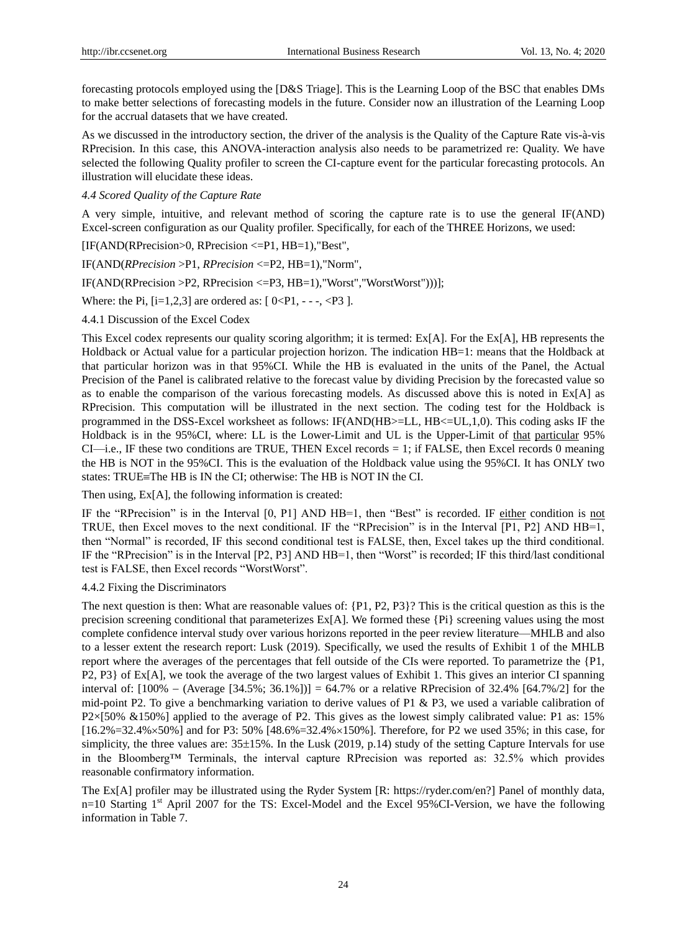forecasting protocols employed using the [D&S Triage]. This is the Learning Loop of the BSC that enables DMs to make better selections of forecasting models in the future. Consider now an illustration of the Learning Loop for the accrual datasets that we have created.

As we discussed in the introductory section, the driver of the analysis is the Quality of the Capture Rate vis-à-vis RPrecision. In this case, this ANOVA-interaction analysis also needs to be parametrized re: Quality. We have selected the following Quality profiler to screen the CI-capture event for the particular forecasting protocols. An illustration will elucidate these ideas.

*4.4 Scored Quality of the Capture Rate* 

A very simple, intuitive, and relevant method of scoring the capture rate is to use the general IF(AND) Excel-screen configuration as our Quality profiler. Specifically, for each of the THREE Horizons, we used:

[IF(AND(RPrecision>0, RPrecision <=P1, HB=1),"Best",

IF(AND(*RPrecision* >P1, *RPrecision* <=P2, HB=1),"Norm",

IF(AND(RPrecision >P2, RPrecision <=P3, HB=1),"Worst","WorstWorst")))];

Where: the Pi,  $[i=1,2,3]$  are ordered as:  $[0 *P*1, -7, *P*3].$ 

4.4.1 Discussion of the Excel Codex

This Excel codex represents our quality scoring algorithm; it is termed:  $Ex[A]$ . For the  $Ex[A]$ , HB represents the Holdback or Actual value for a particular projection horizon. The indication HB=1: means that the Holdback at that particular horizon was in that 95%CI. While the HB is evaluated in the units of the Panel, the Actual Precision of the Panel is calibrated relative to the forecast value by dividing Precision by the forecasted value so as to enable the comparison of the various forecasting models. As discussed above this is noted in Ex[A] as RPrecision. This computation will be illustrated in the next section. The coding test for the Holdback is programmed in the DSS-Excel worksheet as follows: IF(AND(HB>=LL, HB<=UL,1,0). This coding asks IF the Holdback is in the 95%CI, where: LL is the Lower-Limit and UL is the Upper-Limit of that particular 95%  $CI$ —i.e., IF these two conditions are TRUE, THEN Excel records  $= 1$ ; if FALSE, then Excel records 0 meaning the HB is NOT in the 95%CI. This is the evaluation of the Holdback value using the 95%CI. It has ONLY two states: TRUE=The HB is IN the CI; otherwise: The HB is NOT IN the CI.

Then using, Ex[A], the following information is created:

IF the "RPrecision" is in the Interval  $[0, P1]$  AND HB=1, then "Best" is recorded. IF either condition is not TRUE, then Excel moves to the next conditional. IF the "RPrecision" is in the Interval  $[P1, P2]$  AND HB=1, then "Normal" is recorded, IF this second conditional test is FALSE, then, Excel takes up the third conditional. IF the "RPrecision" is in the Interval  $[P2, P3]$  AND HB=1, then "Worst" is recorded; IF this third/last conditional test is FALSE, then Excel records "WorstWorst".

#### 4.4.2 Fixing the Discriminators

The next question is then: What are reasonable values of: {P1, P2, P3}? This is the critical question as this is the precision screening conditional that parameterizes Ex[A]. We formed these {Pi} screening values using the most complete confidence interval study over various horizons reported in the peer review literature—MHLB and also to a lesser extent the research report: Lusk (2019). Specifically, we used the results of Exhibit 1 of the MHLB report where the averages of the percentages that fell outside of the CIs were reported. To parametrize the {P1, P2, P3} of Ex[A], we took the average of the two largest values of Exhibit 1. This gives an interior CI spanning interval of:  $[100\% - (Average [34.5\%; 36.1\%])] = 64.7\%$  or a relative RPrecision of 32.4%  $[64.7\% / 2]$  for the mid-point P2. To give a benchmarking variation to derive values of P1 & P3, we used a variable calibration of P2×[50% &150%] applied to the average of P2. This gives as the lowest simply calibrated value: P1 as: 15%  $[16.2\% = 32.4\% \times 50\%]$  and for P3: 50%  $[48.6\% = 32.4\% \times 150\%]$ . Therefore, for P2 we used 35%; in this case, for simplicity, the three values are:  $35\pm15$ %. In the Lusk (2019, p.14) study of the setting Capture Intervals for use in the Bloomberg™ Terminals, the interval capture RPrecision was reported as: 32.5% which provides reasonable confirmatory information.

The Ex[A] profiler may be illustrated using the Ryder System [R: [https://ryder.com/en?\]](https://ryder.com/en?) Panel of monthly data,  $n=10$  Starting 1<sup>st</sup> April 2007 for the TS: Excel-Model and the Excel 95%CI-Version, we have the following information in Table 7.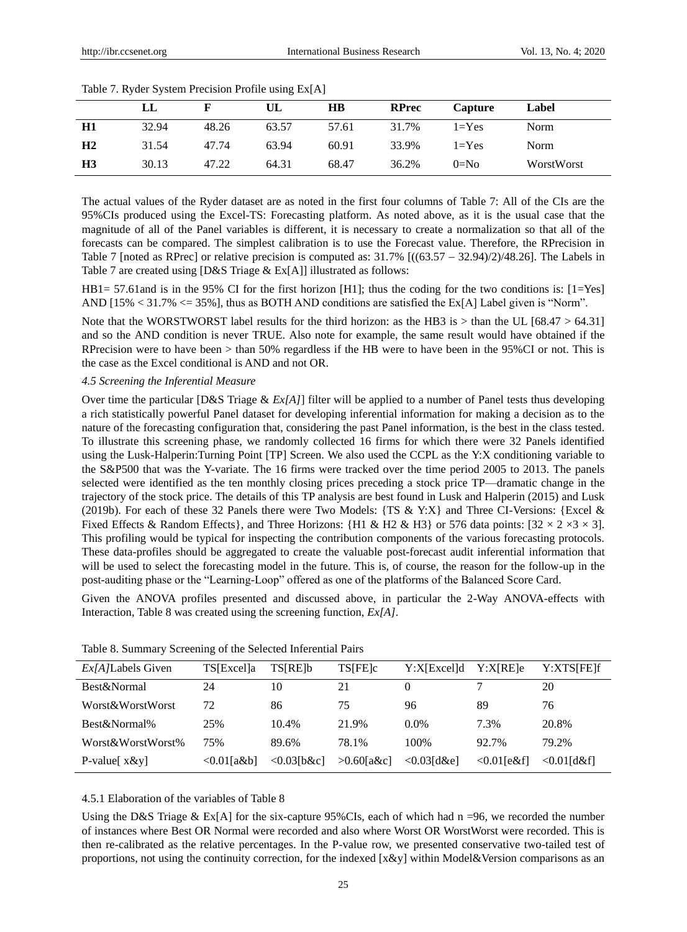|                | LL    |       | UL    | $\overline{H}$ | <b>RPrec</b> | Capture   | Label      |
|----------------|-------|-------|-------|----------------|--------------|-----------|------------|
| H1             | 32.94 | 48.26 | 63.57 | 57.61          | 31.7%        | $1 = Yes$ | Norm       |
| H <sub>2</sub> | 31.54 | 47.74 | 63.94 | 60.91          | 33.9%        | $1 = Yes$ | Norm       |
| H <sub>3</sub> | 30.13 | 47.22 | 64.31 | 68.47          | 36.2%        | $0=No$    | WorstWorst |

Table 7. Ryder System Precision Profile using Ex[A]

The actual values of the Ryder dataset are as noted in the first four columns of Table 7: All of the CIs are the 95%CIs produced using the Excel-TS: Forecasting platform. As noted above, as it is the usual case that the magnitude of all of the Panel variables is different, it is necessary to create a normalization so that all of the forecasts can be compared. The simplest calibration is to use the Forecast value. Therefore, the RPrecision in Table 7 [noted as RPrec] or relative precision is computed as:  $31.7\%$   $[(63.57 - 32.94)/2)/48.26]$ . The Labels in Table 7 are created using [D&S Triage & Ex[A]] illustrated as follows:

HB1= 57.61and is in the 95% CI for the first horizon [H1]; thus the coding for the two conditions is: [1=Yes] AND [15%  $\lt$  31.7%  $\lt$  = 35%], thus as BOTH AND conditions are satisfied the Ex[A] Label given is "Norm".

Note that the WORSTWORST label results for the third horizon: as the HB3 is > than the UL [68.47 > 64.31] and so the AND condition is never TRUE. Also note for example, the same result would have obtained if the RPrecision were to have been > than 50% regardless if the HB were to have been in the 95%CI or not. This is the case as the Excel conditional is AND and not OR.

#### *4.5 Screening the Inferential Measure*

Over time the particular [D&S Triage & *Ex[A]*] filter will be applied to a number of Panel tests thus developing a rich statistically powerful Panel dataset for developing inferential information for making a decision as to the nature of the forecasting configuration that, considering the past Panel information, is the best in the class tested. To illustrate this screening phase, we randomly collected 16 firms for which there were 32 Panels identified using the Lusk-Halperin:Turning Point [TP] Screen. We also used the CCPL as the Y:X conditioning variable to the S&P500 that was the Y-variate. The 16 firms were tracked over the time period 2005 to 2013. The panels selected were identified as the ten monthly closing prices preceding a stock price TP—dramatic change in the trajectory of the stock price. The details of this TP analysis are best found in Lusk and Halperin (2015) and Lusk (2019b). For each of these 32 Panels there were Two Models: {TS & Y:X} and Three CI-Versions: {Excel & Fixed Effects & Random Effects }, and Three Horizons: {H1 & H2 & H3} or 576 data points:  $[32 \times 2 \times 3 \times 3]$ . This profiling would be typical for inspecting the contribution components of the various forecasting protocols. These data-profiles should be aggregated to create the valuable post-forecast audit inferential information that will be used to select the forecasting model in the future. This is, of course, the reason for the follow-up in the post-auditing phase or the "Learning-Loop" offered as one of the platforms of the Balanced Score Card.

Given the ANOVA profiles presented and discussed above, in particular the 2-Way ANOVA-effects with Interaction, Table 8 was created using the screening function, *Ex[A]*.

| <i>Ex[A]</i> Labels Given | TS[Excel]a        | <b>TSIRE<sub>lb</sub></b> | <b>TSIFEIC</b> | Y:XIExcelld    | Y:XIREle      | Y:XTS[FE]f     |
|---------------------------|-------------------|---------------------------|----------------|----------------|---------------|----------------|
| Best&Normal               | 24                | 10                        | 21             | $\theta$       |               | 20             |
| Worst&WorstWorst          | 72                | 86                        | 75             | 96             | 89            | 76             |
| Best&Normal%              | 25%               | 10.4%                     | 21.9%          | $0.0\%$        | 7.3%          | 20.8%          |
| Worst & Worst Worst%      | 75%               | 89.6%                     | 78.1%          | 100\%          | 92.7%         | 79.2%          |
| P-value $x \& y$          | $\leq 0.01$ [a&b] | $\leq 0.03$ [b&c]         | $>0.60$ [a&c]  | $< 0.03$ [d&e] | $<0.01$ [e&f] | $<$ 0.01 [d&f] |

## 4.5.1 Elaboration of the variables of Table 8

Using the D&S Triage & Ex[A] for the six-capture 95%CIs, each of which had  $n = 96$ , we recorded the number of instances where Best OR Normal were recorded and also where Worst OR WorstWorst were recorded. This is then re-calibrated as the relative percentages. In the P-value row, we presented conservative two-tailed test of proportions, not using the continuity correction, for the indexed [x&y] within Model&Version comparisons as an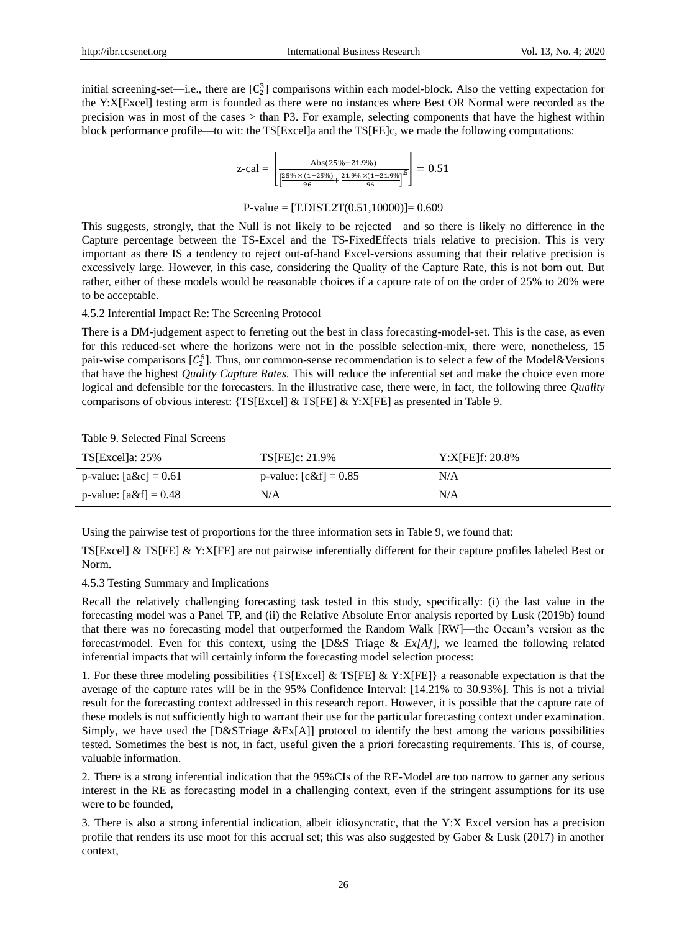$initial$  screening-set—i.e., there are  $[C_2^3]$  comparisons within each model-block. Also the vetting expectation for the Y:X[Excel] testing arm is founded as there were no instances where Best OR Normal were recorded as the precision was in most of the cases > than P3. For example, selecting components that have the highest within block performance profile—to wit: the TS[Excel]a and the TS[FE]c, we made the following computations:

$$
z\text{-cal} = \left[ \frac{\text{Abs}(25\% - 21.9\%)}{\left[ \frac{25\% \times (1 - 25\%)}{96} + \frac{21.9\% \times (1 - 21.9\%)}{96} \right]^5} \right] = 0.51
$$

#### $P-value = [T.DIST.2T(0.51,10000)] = 0.609$

This suggests, strongly, that the Null is not likely to be rejected—and so there is likely no difference in the Capture percentage between the TS-Excel and the TS-FixedEffects trials relative to precision. This is very important as there IS a tendency to reject out-of-hand Excel-versions assuming that their relative precision is excessively large. However, in this case, considering the Quality of the Capture Rate, this is not born out. But rather, either of these models would be reasonable choices if a capture rate of on the order of 25% to 20% were to be acceptable.

#### 4.5.2 Inferential Impact Re: The Screening Protocol

There is a DM-judgement aspect to ferreting out the best in class forecasting-model-set. This is the case, as even for this reduced-set where the horizons were not in the possible selection-mix, there were, nonetheless, 15 pair-wise comparisons  $[C_2^6]$ . Thus, our common-sense recommendation is to select a few of the Model&Versions that have the highest *Quality Capture Rates*. This will reduce the inferential set and make the choice even more logical and defensible for the forecasters. In the illustrative case, there were, in fact, the following three *Quality* comparisons of obvious interest: {TS[Excel] & TS[FE] & Y:X[FE] as presented in Table 9.

#### Table 9. Selected Final Screens

| $TS[Excella: 25\%]$      | <b>TS[FE]c: 21.9%</b>   | $Y:X[FE]f: 20.8\%$ |
|--------------------------|-------------------------|--------------------|
| p-value: $[a\&c] = 0.61$ | p-value: $[c&f] = 0.85$ | N/A                |
| p-value: $[a&f] = 0.48$  | N/A                     | N/A                |

Using the pairwise test of proportions for the three information sets in Table 9, we found that:

TS[Excel] & TS[FE] & Y:X[FE] are not pairwise inferentially different for their capture profiles labeled Best or Norm.

#### 4.5.3 Testing Summary and Implications

Recall the relatively challenging forecasting task tested in this study, specifically: (i) the last value in the forecasting model was a Panel TP, and (ii) the Relative Absolute Error analysis reported by Lusk (2019b) found that there was no forecasting model that outperformed the Random Walk [RW]—the Occam's version as the forecast/model. Even for this context, using the [D&S Triage & *Ex[A]*], we learned the following related inferential impacts that will certainly inform the forecasting model selection process:

1. For these three modeling possibilities {TS[Excel] & TS[FE] & Y:X[FE]} a reasonable expectation is that the average of the capture rates will be in the 95% Confidence Interval: [14.21% to 30.93%]. This is not a trivial result for the forecasting context addressed in this research report. However, it is possible that the capture rate of these models is not sufficiently high to warrant their use for the particular forecasting context under examination. Simply, we have used the [D&STriage &Ex[A]] protocol to identify the best among the various possibilities tested. Sometimes the best is not, in fact, useful given the a priori forecasting requirements. This is, of course, valuable information.

2. There is a strong inferential indication that the 95%CIs of the RE-Model are too narrow to garner any serious interest in the RE as forecasting model in a challenging context, even if the stringent assumptions for its use were to be founded,

3. There is also a strong inferential indication, albeit idiosyncratic, that the Y:X Excel version has a precision profile that renders its use moot for this accrual set; this was also suggested by Gaber & Lusk (2017) in another context,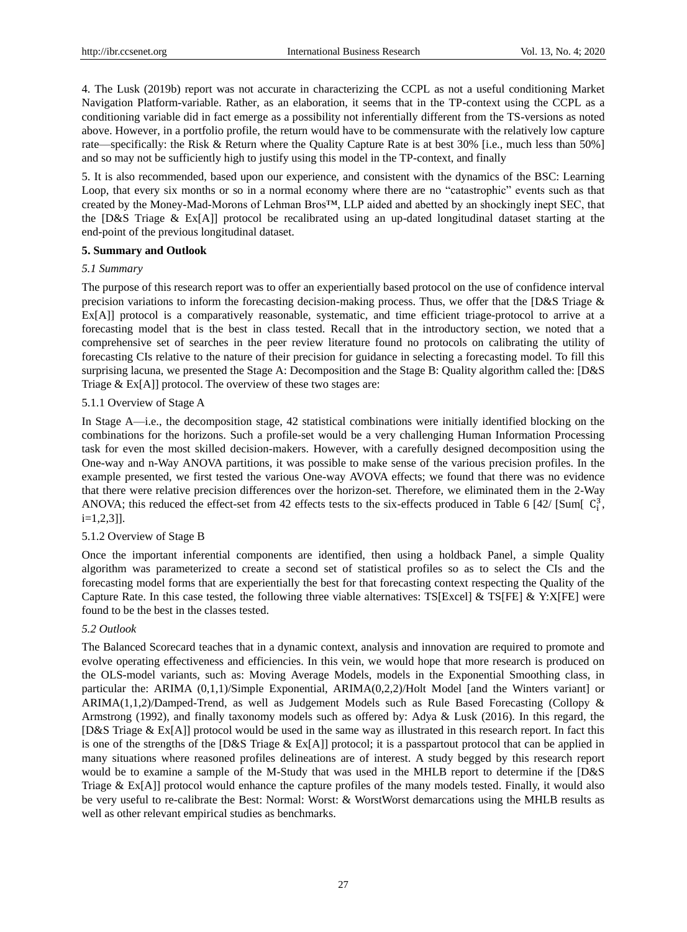4. The Lusk (2019b) report was not accurate in characterizing the CCPL as not a useful conditioning Market Navigation Platform-variable. Rather, as an elaboration, it seems that in the TP-context using the CCPL as a conditioning variable did in fact emerge as a possibility not inferentially different from the TS-versions as noted above. However, in a portfolio profile, the return would have to be commensurate with the relatively low capture rate—specifically: the Risk & Return where the Quality Capture Rate is at best 30% [i.e., much less than 50%] and so may not be sufficiently high to justify using this model in the TP-context, and finally

5. It is also recommended, based upon our experience, and consistent with the dynamics of the BSC: Learning Loop, that every six months or so in a normal economy where there are no "catastrophic" events such as that created by the Money-Mad-Morons of Lehman Bros™, LLP aided and abetted by an shockingly inept SEC, that the [D&S Triage & Ex[A]] protocol be recalibrated using an up-dated longitudinal dataset starting at the end-point of the previous longitudinal dataset.

## **5. Summary and Outlook**

#### *5.1 Summary*

The purpose of this research report was to offer an experientially based protocol on the use of confidence interval precision variations to inform the forecasting decision-making process. Thus, we offer that the [D&S Triage & Ex[A]] protocol is a comparatively reasonable, systematic, and time efficient triage-protocol to arrive at a forecasting model that is the best in class tested. Recall that in the introductory section, we noted that a comprehensive set of searches in the peer review literature found no protocols on calibrating the utility of forecasting CIs relative to the nature of their precision for guidance in selecting a forecasting model. To fill this surprising lacuna, we presented the Stage A: Decomposition and the Stage B: Quality algorithm called the: [D&S Triage & Ex[A]] protocol. The overview of these two stages are:

## 5.1.1 Overview of Stage A

In Stage A—i.e., the decomposition stage, 42 statistical combinations were initially identified blocking on the combinations for the horizons. Such a profile-set would be a very challenging Human Information Processing task for even the most skilled decision-makers. However, with a carefully designed decomposition using the One-way and n-Way ANOVA partitions, it was possible to make sense of the various precision profiles. In the example presented, we first tested the various One-way AVOVA effects; we found that there was no evidence that there were relative precision differences over the horizon-set. Therefore, we eliminated them in the 2-Way ANOVA; this reduced the effect-set from 42 effects tests to the six-effects produced in Table 6 [42/ [Sum[  $C_i^3$ , i=1,2,3]].

#### 5.1.2 Overview of Stage B

Once the important inferential components are identified, then using a holdback Panel, a simple Quality algorithm was parameterized to create a second set of statistical profiles so as to select the CIs and the forecasting model forms that are experientially the best for that forecasting context respecting the Quality of the Capture Rate. In this case tested, the following three viable alternatives: TS[Excel] & TS[FE]  $\&$  Y:X[FE] were found to be the best in the classes tested.

## *5.2 Outlook*

The Balanced Scorecard teaches that in a dynamic context, analysis and innovation are required to promote and evolve operating effectiveness and efficiencies. In this vein, we would hope that more research is produced on the OLS-model variants, such as: Moving Average Models, models in the Exponential Smoothing class, in particular the: ARIMA (0,1,1)/Simple Exponential, ARIMA(0,2,2)/Holt Model [and the Winters variant] or ARIMA(1,1,2)/Damped-Trend, as well as Judgement Models such as Rule Based Forecasting (Collopy & Armstrong (1992), and finally taxonomy models such as offered by: Adya & Lusk (2016). In this regard, the [D&S Triage & Ex[A]] protocol would be used in the same way as illustrated in this research report. In fact this is one of the strengths of the [D&S Triage & Ex[A]] protocol; it is a passpartout protocol that can be applied in many situations where reasoned profiles delineations are of interest. A study begged by this research report would be to examine a sample of the M-Study that was used in the MHLB report to determine if the [D&S Triage & Ex[A]] protocol would enhance the capture profiles of the many models tested. Finally, it would also be very useful to re-calibrate the Best: Normal: Worst: & WorstWorst demarcations using the MHLB results as well as other relevant empirical studies as benchmarks.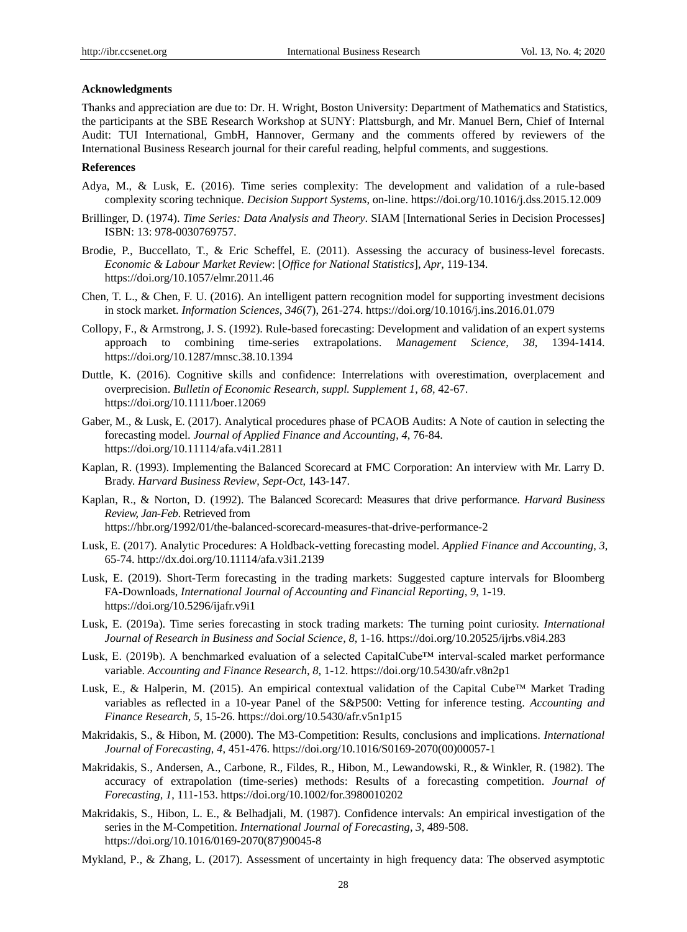## **Acknowledgments**

Thanks and appreciation are due to: Dr. H. Wright, Boston University: Department of Mathematics and Statistics, the participants at the SBE Research Workshop at SUNY: Plattsburgh, and Mr. Manuel Bern, Chief of Internal Audit: TUI International, GmbH, Hannover, Germany and the comments offered by reviewers of the International Business Research journal for their careful reading, helpful comments, and suggestions.

## **References**

- Adya, M., & Lusk, E. (2016). Time series complexity: The development and validation of a rule-based complexity scoring technique. *Decision Support Systems*, on-line[. https://doi.org/10.1016/j.dss.2015.12.009](https://doi.org/10.1016/j.dss.2015.12.009)
- Brillinger, D. (1974). *Time Series: Data Analysis and Theory*. SIAM [International Series in Decision Processes] ISBN: 13: 978-0030769757.
- Brodie, P., Buccellato, T., & Eric Scheffel, E. (2011). Assessing the accuracy of business-level forecasts. *Economic & Labour Market Review*: [*Office for National Statistics*], *Apr*, 119-134. <https://doi.org/10.1057/elmr.2011.46>
- Chen, T. L., & Chen, F. U. (2016). An intelligent pattern recognition model for supporting investment decisions in stock market. *Information Sciences*, *346*(7), 261-274. https://doi.org/10.1016/j.ins.2016.01.079
- Collopy, F., & Armstrong, J. S. (1992). Rule-based forecasting: Development and validation of an expert systems approach to combining time-series extrapolations. *Management Science, 38,* 1394-1414. <https://doi.org/10.1287/mnsc.38.10.1394>
- Duttle, K. (2016). Cognitive skills and confidence: Interrelations with overestimation, overplacement and overprecision. *[Bulletin of Economic Research, suppl. Supplement 1](https://search-proquest-com.proxy.library.upenn.edu/abiglobal/pubidlinkhandler/sng/pubtitle/Bulletin+of+Economic+Research/$N/48647/DocView/1854230310/abstract/CECB3E2E23FD495CPQ/1?accountid=14707)*, *68,* 42-67. <https://doi.org/10.1111/boer.12069>
- Gaber, M., & Lusk, E. (2017). Analytical procedures phase of PCAOB Audits: A Note of caution in selecting the forecasting model. *Journal of Applied Finance and Accounting*, *4*, 76-84. <https://doi.org/10.11114/afa.v4i1.2811>
- Kaplan, R. (1993). Implementing the Balanced Scorecard at FMC Corporation: An interview with Mr. Larry D. Brady. *Harvard Business Review*, *Sept-Oct*, 143-147.
- Kaplan, R., & Norton, D. (1992). The Balanced Scorecard: Measures that drive performance. *Harvard Business Review, Jan-Feb*. Retrieved from <https://hbr.org/1992/01/the-balanced-scorecard-measures-that-drive-performance-2>
- Lusk, E. (2017). Analytic Procedures: A Holdback-vetting forecasting model. *Applied Finance and Accounting*, *3*, 65-74.<http://dx.doi.org/10.11114/afa.v3i1.2139>
- Lusk, E. (2019). Short-Term forecasting in the trading markets: Suggested capture intervals for Bloomberg FA-Downloads, *International Journal of Accounting and Financial Reporting*, *9*, 1-19. <https://doi.org/10.5296/ijafr.v9i1>
- Lusk, E. (2019a). Time series forecasting in stock trading markets: The turning point curiosity. *International Journal of Research in Business and Social Science*, *8*, 1-16.<https://doi.org/10.20525/ijrbs.v8i4.283>
- Lusk, E. (2019b). A benchmarked evaluation of a selected CapitalCube™ interval-scaled market performance variable. *Accounting and Finance Research*, *8*, 1-12[. https://doi.org/10.5430/afr.v8n2p1](https://doi.org/10.5430/afr.v8n2p1)
- Lusk, E., & Halperin, M. (2015). An empirical contextual validation of the Capital Cube<sup>™</sup> Market Trading variables as reflected in a 10-year Panel of the S&P500: Vetting for inference testing. *Accounting and Finance Research*, *5*, 15-26. https://doi.org/10.5430/afr.v5n1p15
- Makridakis, S., & Hibon, M. (2000). The M3-Competition: Results, conclusions and implications. *International Journal of Forecasting*, *4*, 451-476. [https://doi.org/10.1016/S0169-2070\(00\)00057-1](https://doi.org/10.1016/S0169-2070(00)00057-1)
- Makridakis, S., Andersen, A., Carbone, R., Fildes, R., Hibon, M., Lewandowski, R., & Winkler, R. (1982). The accuracy of extrapolation (time-series) methods: Results of a forecasting competition. *Journal of Forecasting, 1*, 111-153[. https://doi.org/10.1002/for.3980010202](https://doi.org/10.1002/for.3980010202)
- Makridakis, S., Hibon, L. E., & Belhadjali, M. (1987). Confidence intervals: An empirical investigation of the series in the M-Competition. *International Journal of Forecasting*, *3*, 489-508. [https://doi.org/10.1016/0169-2070\(87\)90045-8](https://doi.org/10.1016/0169-2070(87)90045-8)
- Mykland, P., & Zhang, L. (2017). Assessment of uncertainty in high frequency data: The observed asymptotic